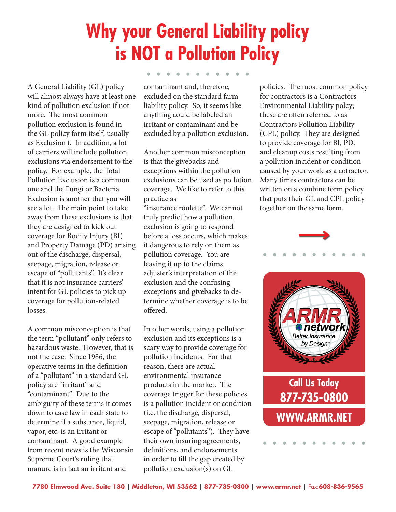## **Why your General Liability policy is NOT a Pollution Policy**

A General Liability (GL) policy will almost always have at least one kind of pollution exclusion if not more. The most common pollution exclusion is found in the GL policy form itself, usually as Exclusion f. In addition, a lot of carriers will include pollution exclusions via endorsement to the policy. For example, the Total Pollution Exclusion is a common one and the Fungi or Bacteria Exclusion is another that you will see a lot. The main point to take away from these exclusions is that they are designed to kick out coverage for Bodily Injury (BI) and Property Damage (PD) arising out of the discharge, dispersal, seepage, migration, release or escape of "pollutants". It's clear that it is not insurance carriers' intent for GL policies to pick up coverage for pollution-related losses.

A common misconception is that the term "pollutant" only refers to hazardous waste. However, that is not the case. Since 1986, the operative terms in the definition of a "pollutant" in a standard GL policy are "irritant" and "contaminant". Due to the ambiguity of these terms it comes down to case law in each state to determine if a substance, liquid, vapor, etc. is an irritant or contaminant. A good example from recent news is the Wisconsin Supreme Court's ruling that manure is in fact an irritant and

contaminant and, therefore, excluded on the standard farm liability policy. So, it seems like anything could be labeled an irritant or contaminant and be excluded by a pollution exclusion.

Another common misconception is that the givebacks and exceptions within the pollution exclusions can be used as pollution coverage. We like to refer to this practice as

"insurance roulette". We cannot truly predict how a pollution exclusion is going to respond before a loss occurs, which makes it dangerous to rely on them as pollution coverage. You are leaving it up to the claims adjuster's interpretation of the exclusion and the confusing exceptions and givebacks to determine whether coverage is to be offered.

In other words, using a pollution exclusion and its exceptions is a scary way to provide coverage for pollution incidents. For that reason, there are actual environmental insurance products in the market. The coverage trigger for these policies is a pollution incident or condition (i.e. the discharge, dispersal, seepage, migration, release or escape of "pollutants"). They have their own insuring agreements, definitions, and endorsements in order to fill the gap created by pollution exclusion(s) on GL

policies. The most common policy for contractors is a Contractors Environmental Liability polcy; these are often referred to as Contractors Pollution Liability (CPL) policy. They are designed to provide coverage for BI, PD, and cleanup costs resulting from a pollution incident or condition caused by your work as a cotractor. Many times contractors can be written on a combine form policy that puts their GL and CPL policy together on the same form.